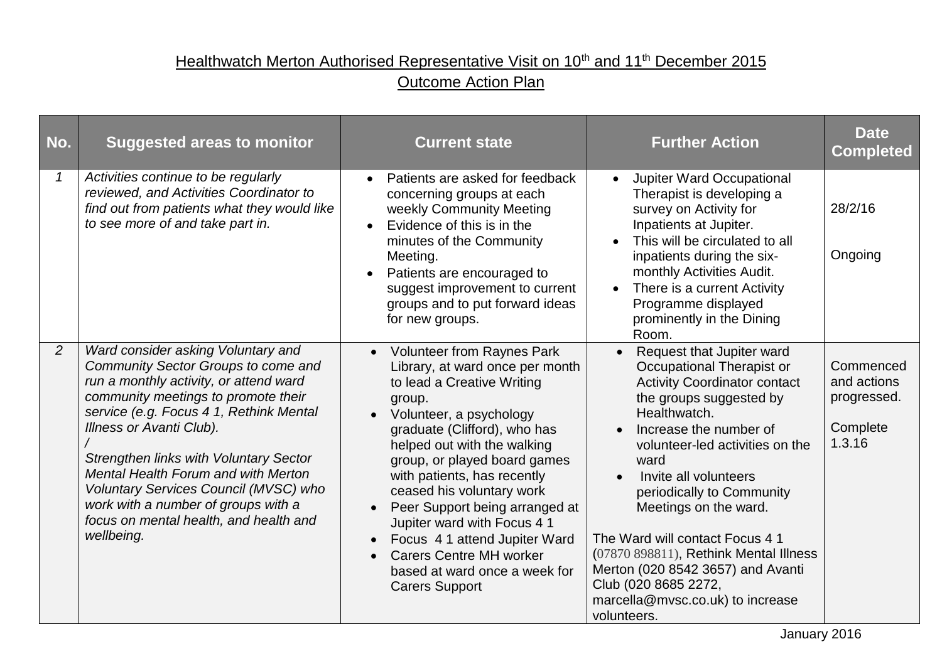## Healthwatch Merton Authorised Representative Visit on 10<sup>th</sup> and 11<sup>th</sup> December 2015

## **Outcome Action Plan**

| No.            | <b>Suggested areas to monitor</b>                                                                                                                                                                                                                                                                                                                                                                                                                                 | <b>Current state</b>                                                                                                                                                                                                                                                                                                                                                                                                                                                                                                         | <b>Further Action</b>                                                                                                                                                                                                                                                                                                                                                                                                                                                                     | <b>Date</b><br><b>Completed</b>                               |
|----------------|-------------------------------------------------------------------------------------------------------------------------------------------------------------------------------------------------------------------------------------------------------------------------------------------------------------------------------------------------------------------------------------------------------------------------------------------------------------------|------------------------------------------------------------------------------------------------------------------------------------------------------------------------------------------------------------------------------------------------------------------------------------------------------------------------------------------------------------------------------------------------------------------------------------------------------------------------------------------------------------------------------|-------------------------------------------------------------------------------------------------------------------------------------------------------------------------------------------------------------------------------------------------------------------------------------------------------------------------------------------------------------------------------------------------------------------------------------------------------------------------------------------|---------------------------------------------------------------|
| $\mathcal I$   | Activities continue to be regularly<br>reviewed, and Activities Coordinator to<br>find out from patients what they would like<br>to see more of and take part in.                                                                                                                                                                                                                                                                                                 | Patients are asked for feedback<br>concerning groups at each<br>weekly Community Meeting<br>Evidence of this is in the<br>minutes of the Community<br>Meeting.<br>Patients are encouraged to<br>suggest improvement to current<br>groups and to put forward ideas<br>for new groups.                                                                                                                                                                                                                                         | <b>Jupiter Ward Occupational</b><br>Therapist is developing a<br>survey on Activity for<br>Inpatients at Jupiter.<br>This will be circulated to all<br>inpatients during the six-<br>monthly Activities Audit.<br>There is a current Activity<br>$\bullet$<br>Programme displayed<br>prominently in the Dining<br>Room.                                                                                                                                                                   | 28/2/16<br>Ongoing                                            |
| $\overline{2}$ | Ward consider asking Voluntary and<br>Community Sector Groups to come and<br>run a monthly activity, or attend ward<br>community meetings to promote their<br>service (e.g. Focus 4 1, Rethink Mental<br>Illness or Avanti Club).<br><b>Strengthen links with Voluntary Sector</b><br>Mental Health Forum and with Merton<br>Voluntary Services Council (MVSC) who<br>work with a number of groups with a<br>focus on mental health, and health and<br>wellbeing. | <b>Volunteer from Raynes Park</b><br>Library, at ward once per month<br>to lead a Creative Writing<br>group.<br>• Volunteer, a psychology<br>graduate (Clifford), who has<br>helped out with the walking<br>group, or played board games<br>with patients, has recently<br>ceased his voluntary work<br>Peer Support being arranged at<br>$\bullet$<br>Jupiter ward with Focus 4 1<br>Focus 4 1 attend Jupiter Ward<br><b>Carers Centre MH worker</b><br>$\bullet$<br>based at ward once a week for<br><b>Carers Support</b> | Request that Jupiter ward<br>Occupational Therapist or<br><b>Activity Coordinator contact</b><br>the groups suggested by<br>Healthwatch.<br>Increase the number of<br>volunteer-led activities on the<br>ward<br>Invite all volunteers<br>periodically to Community<br>Meetings on the ward.<br>The Ward will contact Focus 4 1<br>(07870 898811), Rethink Mental Illness<br>Merton (020 8542 3657) and Avanti<br>Club (020 8685 2272,<br>marcella@mvsc.co.uk) to increase<br>volunteers. | Commenced<br>and actions<br>progressed.<br>Complete<br>1.3.16 |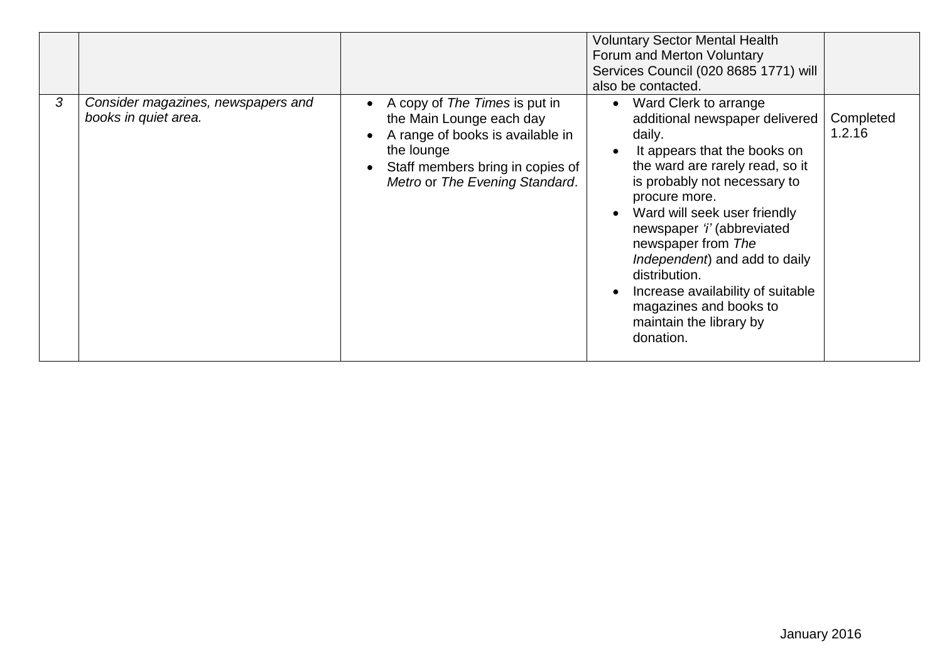|   |                                                            |                                                                                                                                                                                   | <b>Voluntary Sector Mental Health</b><br>Forum and Merton Voluntary<br>Services Council (020 8685 1771) will<br>also be contacted.                                                                                                                                                                                                                                                                                                 |                     |
|---|------------------------------------------------------------|-----------------------------------------------------------------------------------------------------------------------------------------------------------------------------------|------------------------------------------------------------------------------------------------------------------------------------------------------------------------------------------------------------------------------------------------------------------------------------------------------------------------------------------------------------------------------------------------------------------------------------|---------------------|
| 3 | Consider magazines, newspapers and<br>books in quiet area. | A copy of The Times is put in<br>the Main Lounge each day<br>A range of books is available in<br>the lounge<br>Staff members bring in copies of<br>Metro or The Evening Standard. | Ward Clerk to arrange<br>additional newspaper delivered<br>daily.<br>It appears that the books on<br>the ward are rarely read, so it<br>is probably not necessary to<br>procure more.<br>Ward will seek user friendly<br>newspaper 'i' (abbreviated<br>newspaper from The<br>Independent) and add to daily<br>distribution.<br>Increase availability of suitable<br>magazines and books to<br>maintain the library by<br>donation. | Completed<br>1.2.16 |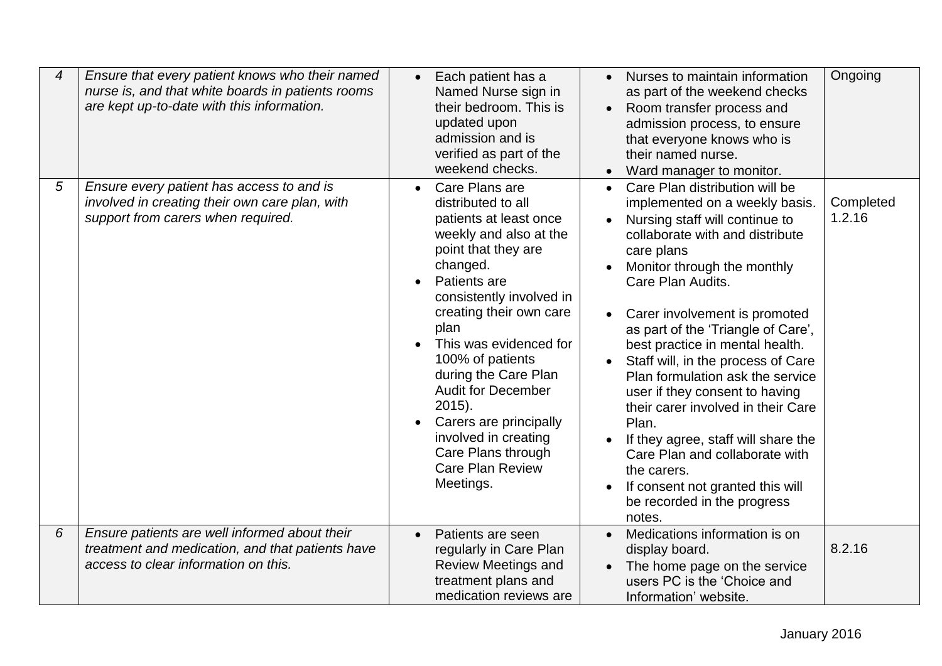| 4 | Ensure that every patient knows who their named<br>nurse is, and that white boards in patients rooms<br>are kept up-to-date with this information. | Nurses to maintain information<br>Each patient has a<br>Named Nurse sign in<br>as part of the weekend checks<br>their bedroom. This is<br>Room transfer process and<br>$\bullet$<br>updated upon<br>admission process, to ensure<br>admission and is<br>that everyone knows who is<br>verified as part of the<br>their named nurse.<br>weekend checks.<br>Ward manager to monitor.<br>$\bullet$                                                                                                                                                                                                                                                                                                                                                                                                                                                                                                                                                                                                                                                                                                 | Ongoing             |
|---|----------------------------------------------------------------------------------------------------------------------------------------------------|-------------------------------------------------------------------------------------------------------------------------------------------------------------------------------------------------------------------------------------------------------------------------------------------------------------------------------------------------------------------------------------------------------------------------------------------------------------------------------------------------------------------------------------------------------------------------------------------------------------------------------------------------------------------------------------------------------------------------------------------------------------------------------------------------------------------------------------------------------------------------------------------------------------------------------------------------------------------------------------------------------------------------------------------------------------------------------------------------|---------------------|
| 5 | Ensure every patient has access to and is<br>involved in creating their own care plan, with<br>support from carers when required.                  | Care Plans are<br>Care Plan distribution will be<br>distributed to all<br>implemented on a weekly basis.<br>patients at least once<br>Nursing staff will continue to<br>weekly and also at the<br>collaborate with and distribute<br>point that they are<br>care plans<br>changed.<br>Monitor through the monthly<br>Patients are<br>Care Plan Audits.<br>consistently involved in<br>creating their own care<br>Carer involvement is promoted<br>plan<br>as part of the 'Triangle of Care',<br>This was evidenced for<br>best practice in mental health.<br>100% of patients<br>Staff will, in the process of Care<br>during the Care Plan<br>Plan formulation ask the service<br><b>Audit for December</b><br>user if they consent to having<br>$2015$ ).<br>their carer involved in their Care<br>Carers are principally<br>Plan.<br>involved in creating<br>If they agree, staff will share the<br>Care Plans through<br>Care Plan and collaborate with<br><b>Care Plan Review</b><br>the carers.<br>Meetings.<br>If consent not granted this will<br>be recorded in the progress<br>notes. | Completed<br>1.2.16 |
| 6 | Ensure patients are well informed about their<br>treatment and medication, and that patients have<br>access to clear information on this.          | Medications information is on<br>Patients are seen<br>$\bullet$<br>regularly in Care Plan<br>display board.<br><b>Review Meetings and</b><br>The home page on the service<br>treatment plans and<br>users PC is the 'Choice and<br>medication reviews are<br>Information' website.                                                                                                                                                                                                                                                                                                                                                                                                                                                                                                                                                                                                                                                                                                                                                                                                              | 8.2.16              |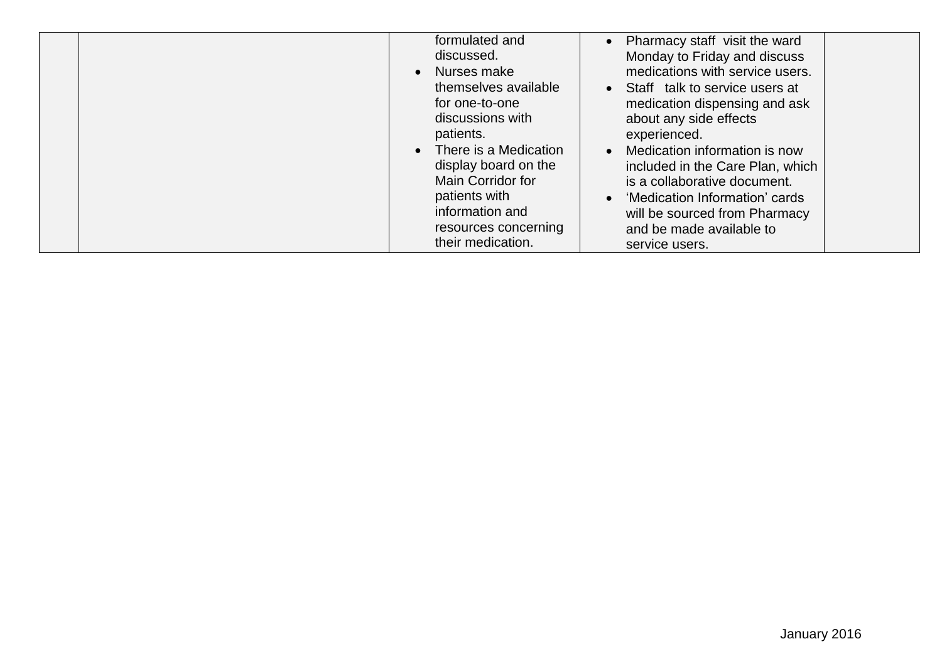| formulated and<br>discussed.<br>• Nurses make<br>themselves available<br>for one-to-one<br>discussions with<br>patients.<br>There is a Medication<br>display board on the<br>Main Corridor for<br>patients with<br>information and | • Pharmacy staff visit the ward<br>Monday to Friday and discuss<br>medications with service users.<br>• Staff talk to service users at<br>medication dispensing and ask<br>about any side effects<br>experienced.<br>Medication information is now<br>$\bullet$<br>included in the Care Plan, which<br>is a collaborative document.<br>• 'Medication Information' cards<br>will be sourced from Pharmacy |
|------------------------------------------------------------------------------------------------------------------------------------------------------------------------------------------------------------------------------------|----------------------------------------------------------------------------------------------------------------------------------------------------------------------------------------------------------------------------------------------------------------------------------------------------------------------------------------------------------------------------------------------------------|
| resources concerning<br>their medication.                                                                                                                                                                                          | and be made available to<br>service users.                                                                                                                                                                                                                                                                                                                                                               |